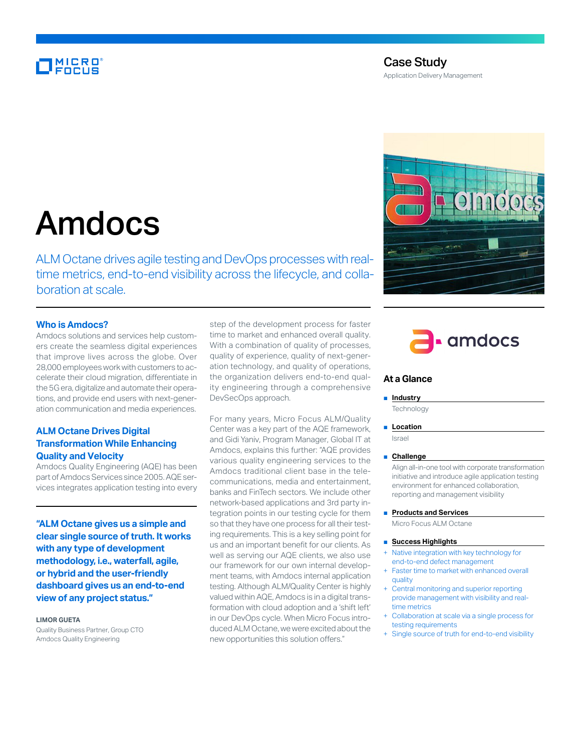# MICRO<br>FOCUS

# Case Study

Application Delivery Management

# Amdocs

ALM Octane drives agile testing and DevOps processes with realtime metrics, end-to-end visibility across the lifecycle, and collaboration at scale.

### **Who is Amdocs?**

Amdocs solutions and services help customers create the seamless digital experiences that improve lives across the globe. Over 28,000 employees work with customers to accelerate their cloud migration, differentiate in the 5G era, digitalize and automate their operations, and provide end users with next-generation communication and media experiences.

# **ALM Octane Drives Digital Transformation While Enhancing Quality and Velocity**

Amdocs Quality Engineering (AQE) has been part of Amdocs Services since 2005. AQE services integrates application testing into every

**"ALM Octane gives us a simple and clear single source of truth. It works with any type of development methodology, i.e., waterfall, agile, or hybrid and the user-friendly dashboard gives us an end-to-end view of any project status."**

#### **LIMOR GUETA**

Quality Business Partner, Group CTO Amdocs Quality Engineering

step of the development process for faster time to market and enhanced overall quality. With a combination of quality of processes, quality of experience, quality of next-generation technology, and quality of operations, the organization delivers end-to-end quality engineering through a comprehensive DevSecOps approach.

For many years, Micro Focus ALM/Quality Center was a key part of the AQE framework, and Gidi Yaniv, Program Manager, Global IT at Amdocs, explains this further: "AQE provides various quality engineering services to the Amdocs traditional client base in the telecommunications, media and entertainment, banks and FinTech sectors. We include other network-based applications and 3rd party integration points in our testing cycle for them so that they have one process for all their testing requirements. This is a key selling point for us and an important benefit for our clients. As well as serving our AQE clients, we also use our framework for our own internal development teams, with Amdocs internal application testing. Although ALM/Quality Center is highly valued within AQE, Amdocs is in a digital transformation with cloud adoption and a 'shift left' in our DevOps cycle. When Micro Focus introduced ALM Octane, we were excited about the new opportunities this solution offers."





## **At a Glance**

#### ■ **Industry**

**Technology** 

#### ■ **Location**

Israel

#### ■ **Challenge**

Align all-in-one tool with corporate transformation initiative and introduce agile application testing environment for enhanced collaboration, reporting and management visibility

#### ■ **Products and Services**

Micro Focus ALM Octane

#### ■ **Success Highlights**

- Native integration with key technology for end-to-end defect management
- Faster time to market with enhanced overall quality
- Central monitoring and superior reporting provide management with visibility and realtime metrics
- Collaboration at scale via a single process for testing requirements
- + Single source of truth for end-to-end visibility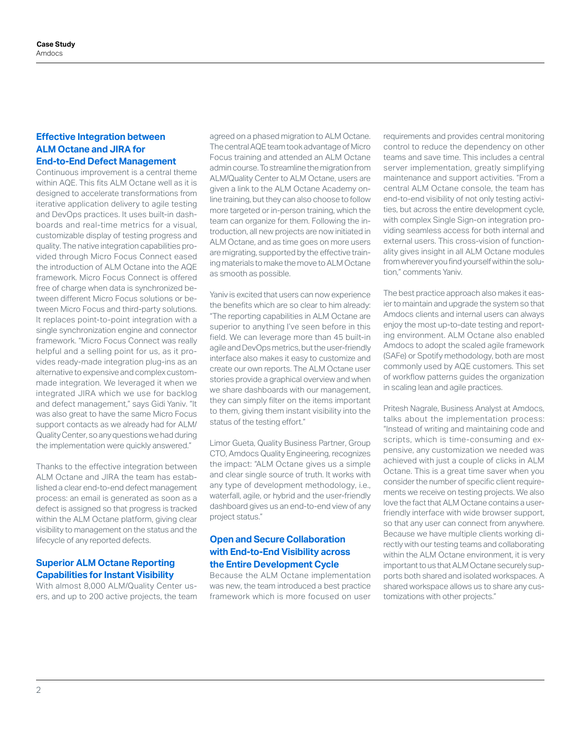# **Effective Integration between ALM Octane and JIRA for End-to-End Defect Management**

Continuous improvement is a central theme within AQE. This fits ALM Octane well as it is designed to accelerate transformations from iterative application delivery to agile testing and DevOps practices. It uses built-in dashboards and real-time metrics for a visual, customizable display of testing progress and quality. The native integration capabilities provided through Micro Focus Connect eased the introduction of ALM Octane into the AQE framework. Micro Focus Connect is offered free of charge when data is synchronized between different Micro Focus solutions or between Micro Focus and third-party solutions. It replaces point-to-point integration with a single synchronization engine and connector framework. "Micro Focus Connect was really helpful and a selling point for us, as it provides ready-made integration plug-ins as an alternative to expensive and complex custommade integration. We leveraged it when we integrated JIRA which we use for backlog and defect management," says Gidi Yaniv. "It was also great to have the same Micro Focus support contacts as we already had for ALM/ Quality Center, so any questions we had during the implementation were quickly answered."

Thanks to the effective integration between ALM Octane and JIRA the team has established a clear end-to-end defect management process: an email is generated as soon as a defect is assigned so that progress is tracked within the ALM Octane platform, giving clear visibility to management on the status and the lifecycle of any reported defects.

# **Superior ALM Octane Reporting Capabilities for Instant Visibility**

With almost 8,000 ALM/Quality Center users, and up to 200 active projects, the team agreed on a phased migration to ALM Octane. The central AQE team took advantage of Micro Focus training and attended an ALM Octane admin course. To streamline the migration from ALM/Quality Center to ALM Octane, users are given a link to the ALM Octane Academy online training, but they can also choose to follow more targeted or in-person training, which the team can organize for them. Following the introduction, all new projects are now initiated in ALM Octane, and as time goes on more users are migrating, supported by the effective training materials to make the move to ALM Octane as smooth as possible.

Yaniv is excited that users can now experience the benefits which are so clear to him already: "The reporting capabilities in ALM Octane are superior to anything I've seen before in this field. We can leverage more than 45 built-in agile and DevOps metrics, but the user-friendly interface also makes it easy to customize and create our own reports. The ALM Octane user stories provide a graphical overview and when we share dashboards with our management, they can simply filter on the items important to them, giving them instant visibility into the status of the testing effort."

Limor Gueta, Quality Business Partner, Group CTO, Amdocs Quality Engineering, recognizes the impact: "ALM Octane gives us a simple and clear single source of truth. It works with any type of development methodology, i.e., waterfall, agile, or hybrid and the user-friendly dashboard gives us an end-to-end view of any project status."

# **Open and Secure Collaboration with End-to-End Visibility across the Entire Development Cycle**

Because the ALM Octane implementation was new, the team introduced a best practice framework which is more focused on user requirements and provides central monitoring control to reduce the dependency on other teams and save time. This includes a central server implementation, greatly simplifying maintenance and support activities. "From a central ALM Octane console, the team has end-to-end visibility of not only testing activities, but across the entire development cycle, with complex Single Sign-on integration providing seamless access for both internal and external users. This cross-vision of functionality gives insight in all ALM Octane modules from wherever you find yourself within the solution," comments Yaniv.

The best practice approach also makes it easier to maintain and upgrade the system so that Amdocs clients and internal users can always enjoy the most up-to-date testing and reporting environment. ALM Octane also enabled Amdocs to adopt the scaled agile framework (SAFe) or Spotify methodology, both are most commonly used by AQE customers. This set of workflow patterns guides the organization in scaling lean and agile practices.

Pritesh Nagrale, Business Analyst at Amdocs, talks about the implementation process: "Instead of writing and maintaining code and scripts, which is time-consuming and expensive, any customization we needed was achieved with just a couple of clicks in ALM Octane. This is a great time saver when you consider the number of specific client requirements we receive on testing projects. We also love the fact that ALM Octane contains a userfriendly interface with wide browser support, so that any user can connect from anywhere. Because we have multiple clients working directly with our testing teams and collaborating within the ALM Octane environment, it is very important to us that ALM Octane securely supports both shared and isolated workspaces. A shared workspace allows us to share any customizations with other projects."